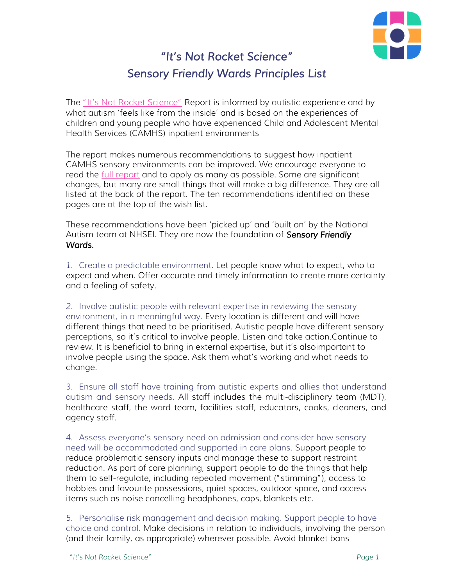

## *"It's Not Rocket Science" Sensory Friendly Wards Principles List*

The "It's Not Rocket Science" Report is informed by autistic experience and by what autism 'feels like from the inside' and is based on the experiences of children and young people who have experienced Child and Adolescent Mental Health Services (CAMHS) inpatient environments

The report makes numerous recommendations to suggest how inpatient CAMHS sensory environments can be improved. We encourage everyone to read the *full report* and to apply as many as possible. Some are significant changes, but many are small things that will make a big difference. They are all listed at the back of the report. The ten recommendations identified on these pages are at the top of the wish list.

These recommendations have been 'picked up' and 'built on' by the National Autism team at NHSEI. They are now the foundation of *Sensory Friendly Wards.*

*1.* Create a predictable environment. Let people know what to expect, who to expect and when. Offer accurate and timely information to create more certainty and a feeling of safety.

*2.* Involve autistic people with relevant expertise in reviewing the sensory environment, in a meaningful way. Every location is different and will have different things that need to be prioritised. Autistic people have different sensory perceptions, so it's critical to involve people. Listen and take action. Continue to review. It is beneficial to bring in external expertise, but it's also important to involve people using the space. Ask them what's working and what needs to change.

*3.* Ensure all staff have training from autistic experts and allies that understand autism and sensory needs. All staff includes the multi-disciplinary team (MDT), healthcare staff, the ward team, facilities staff, educators, cooks, cleaners, and agency staff.

*4.* Assess everyone's sensory need on admission and consider how sensory need will be accommodated and supported in care plans. Support people to reduce problematic sensory inputs and manage these to support restraint reduction. As part of care planning, support people to do the things that help them to self-regulate, including repeated movement ("stimming"), access to hobbies and favourite possessions, quiet spaces, outdoor space, and access items such as noise cancelling headphones, caps, blankets etc.

*5.* Personalise risk management and decision making. Support people to have choice and control. Make decisions in relation to individuals, involving the person (and their family, as appropriate) wherever possible. Avoid blanket bans